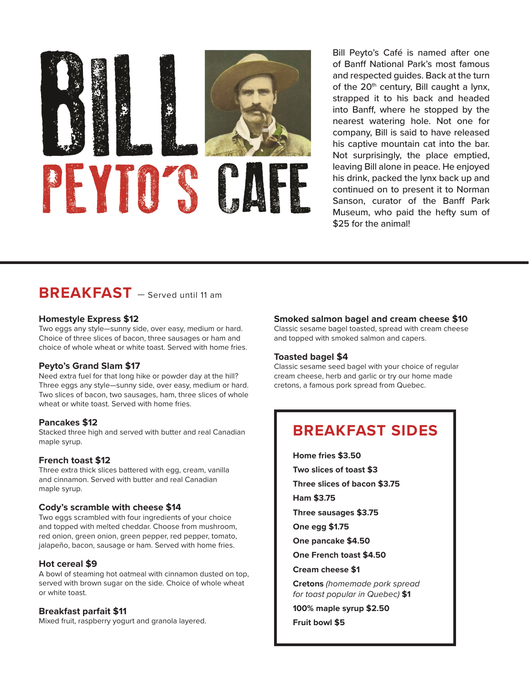

Bill Peyto's Café is named after one of Banff National Park's most famous and respected guides. Back at the turn of the  $20<sup>th</sup>$  century, Bill caught a lynx, strapped it to his back and headed into Banff, where he stopped by the nearest watering hole. Not one for company, Bill is said to have released his captive mountain cat into the bar. Not surprisingly, the place emptied, leaving Bill alone in peace. He enjoyed his drink, packed the lynx back up and continued on to present it to Norman Sanson, curator of the Banff Park Museum, who paid the hefty sum of \$25 for the animal!

# **BREAKFAST** — Served until 11 am

#### **Homestyle Express \$12**

Two eggs any style—sunny side, over easy, medium or hard. Choice of three slices of bacon, three sausages or ham and choice of whole wheat or white toast. Served with home fries.

#### **Peyto's Grand Slam \$17**

Need extra fuel for that long hike or powder day at the hill? Three eggs any style—sunny side, over easy, medium or hard. Two slices of bacon, two sausages, ham, three slices of whole wheat or white toast. Served with home fries.

#### **Pancakes \$12**

Stacked three high and served with butter and real Canadian maple syrup.

#### **French toast \$12**

Three extra thick slices battered with egg, cream, vanilla and cinnamon. Served with butter and real Canadian maple syrup.

#### **Cody's scramble with cheese \$14**

Two eggs scrambled with four ingredients of your choice and topped with melted cheddar. Choose from mushroom, red onion, green onion, green pepper, red pepper, tomato, jalapeño, bacon, sausage or ham. Served with home fries.

#### **Hot cereal \$9**

A bowl of steaming hot oatmeal with cinnamon dusted on top, served with brown sugar on the side. Choice of whole wheat or white toast.

#### **Breakfast parfait \$11**

Mixed fruit, raspberry yogurt and granola layered.

#### **Smoked salmon bagel and cream cheese \$10**

Classic sesame bagel toasted, spread with cream cheese and topped with smoked salmon and capers.

#### **Toasted bagel \$4**

Classic sesame seed bagel with your choice of regular cream cheese, herb and garlic or try our home made cretons, a famous pork spread from Quebec.

# **BREAKFAST SIDES**

**Home fries \$3.50 Two slices of toast \$3 Three slices of bacon \$3.75 Ham \$3.75**

- **Three sausages \$3.75**
- **One egg \$1.75**
- **One pancake \$4.50**
- **One French toast \$4.50**

#### **Cream cheese \$1**

**Cretons** *(homemade pork spread for toast popular in Quebec)* **\$1**

**100% maple syrup \$2.50**

**Fruit bowl \$5**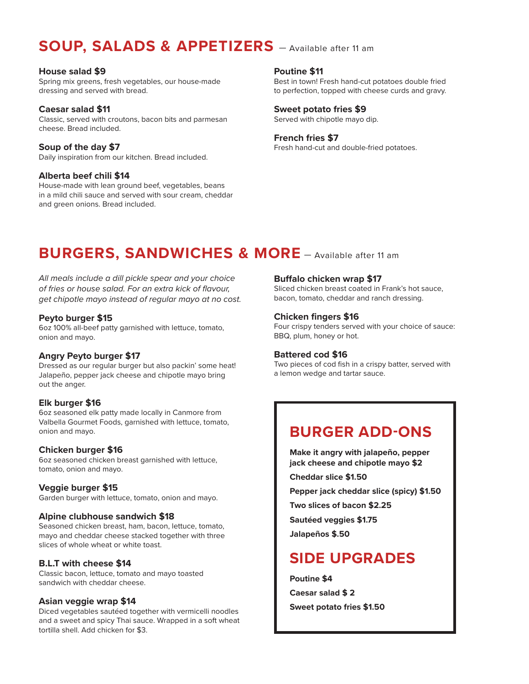# **SOUP, SALADS & APPETIZERS** — Available after 11 am

#### **House salad \$9**

Spring mix greens, fresh vegetables, our house-made dressing and served with bread.

**Caesar salad \$11** Classic, served with croutons, bacon bits and parmesan cheese. Bread included.

**Soup of the day \$7** Daily inspiration from our kitchen. Bread included.

## **Alberta beef chili \$14**

House-made with lean ground beef, vegetables, beans in a mild chili sauce and served with sour cream, cheddar and green onions. Bread included.

# **Poutine \$11**

Best in town! Fresh hand-cut potatoes double fried to perfection, topped with cheese curds and gravy.

#### **Sweet potato fries \$9**

Served with chipotle mayo dip.

#### **French fries \$7**

Fresh hand-cut and double-fried potatoes.

# **BURGERS, SANDWICHES & MORE** — Available after 11 am

*All meals include a dill pickle spear and your choice of fries or house salad. For an extra kick of flavour, get chipotle mayo instead of regular mayo at no cost.*

### **Peyto burger \$15**

6oz 100% all-beef patty garnished with lettuce, tomato, onion and mayo.

## **Angry Peyto burger \$17**

Dressed as our regular burger but also packin' some heat! Jalapeño, pepper jack cheese and chipotle mayo bring out the anger.

## **Elk burger \$16**

6oz seasoned elk patty made locally in Canmore from Valbella Gourmet Foods, garnished with lettuce, tomato, onion and mayo.

## **Chicken burger \$16**

6oz seasoned chicken breast garnished with lettuce, tomato, onion and mayo.

## **Veggie burger \$15**

Garden burger with lettuce, tomato, onion and mayo.

#### **Alpine clubhouse sandwich \$18**

Seasoned chicken breast, ham, bacon, lettuce, tomato, mayo and cheddar cheese stacked together with three slices of whole wheat or white toast.

## **B.L.T with cheese \$14**

Classic bacon, lettuce, tomato and mayo toasted sandwich with cheddar cheese.

## **Asian veggie wrap \$14**

Diced vegetables sautéed together with vermicelli noodles and a sweet and spicy Thai sauce. Wrapped in a soft wheat tortilla shell. Add chicken for \$3.

### **Buffalo chicken wrap \$17**

Sliced chicken breast coated in Frank's hot sauce, bacon, tomato, cheddar and ranch dressing.

### **Chicken fingers \$16**

Four crispy tenders served with your choice of sauce: BBQ, plum, honey or hot.

#### **Battered cod \$16**

Two pieces of cod fish in a crispy batter, served with a lemon wedge and tartar sauce.

# **BURGER ADD-ONS**

**Make it angry with jalapeño, pepper jack cheese and chipotle mayo \$2**

**Cheddar slice \$1.50**

**Pepper jack cheddar slice (spicy) \$1.50**

**Two slices of bacon \$2.25**

**Sautéed veggies \$1.75**

**Jalapeños \$.50**

# **SIDE UPGRADES**

**Poutine \$4 Caesar salad \$ 2 Sweet potato fries \$1.50**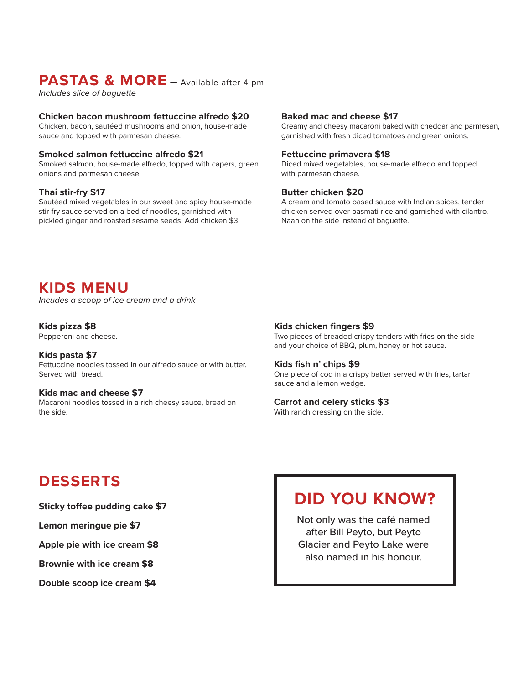# **PASTAS & MORE** — Available after 4 pm

*Includes slice of baguette*

### **Chicken bacon mushroom fettuccine alfredo \$20**

Chicken, bacon, sautéed mushrooms and onion, house-made sauce and topped with parmesan cheese.

#### **Smoked salmon fettuccine alfredo \$21**

Smoked salmon, house-made alfredo, topped with capers, green onions and parmesan cheese.

### **Thai stir-fry \$17**

Sautéed mixed vegetables in our sweet and spicy house-made stir-fry sauce served on a bed of noodles, garnished with pickled ginger and roasted sesame seeds. Add chicken \$3.

## **Baked mac and cheese \$17**

Creamy and cheesy macaroni baked with cheddar and parmesan, garnished with fresh diced tomatoes and green onions.

#### **Fettuccine primavera \$18**

Diced mixed vegetables, house-made alfredo and topped with parmesan cheese.

### **Butter chicken \$20**

A cream and tomato based sauce with Indian spices, tender chicken served over basmati rice and garnished with cilantro. Naan on the side instead of baguette.

# **KIDS MENU**

*Incudes a scoop of ice cream and a drink*

### **Kids pizza \$8**

Pepperoni and cheese.

**Kids pasta \$7** Fettuccine noodles tossed in our alfredo sauce or with butter. Served with bread.

#### **Kids mac and cheese \$7** Macaroni noodles tossed in a rich cheesy sauce, bread on the side.

# **Kids chicken fingers \$9**

Two pieces of breaded crispy tenders with fries on the side and your choice of BBQ, plum, honey or hot sauce.

#### **Kids fish n' chips \$9**

One piece of cod in a crispy batter served with fries, tartar sauce and a lemon wedge.

#### **Carrot and celery sticks \$3**

With ranch dressing on the side.

# **DESSERTS**

**Sticky toffee pudding cake \$7**

#### **Lemon meringue pie \$7**

**Apple pie with ice cream \$8**

**Brownie with ice cream \$8**

**Double scoop ice cream \$4**

# **DID YOU KNOW?**

Not only was the café named after Bill Peyto, but Peyto Glacier and Peyto Lake were also named in his honour.